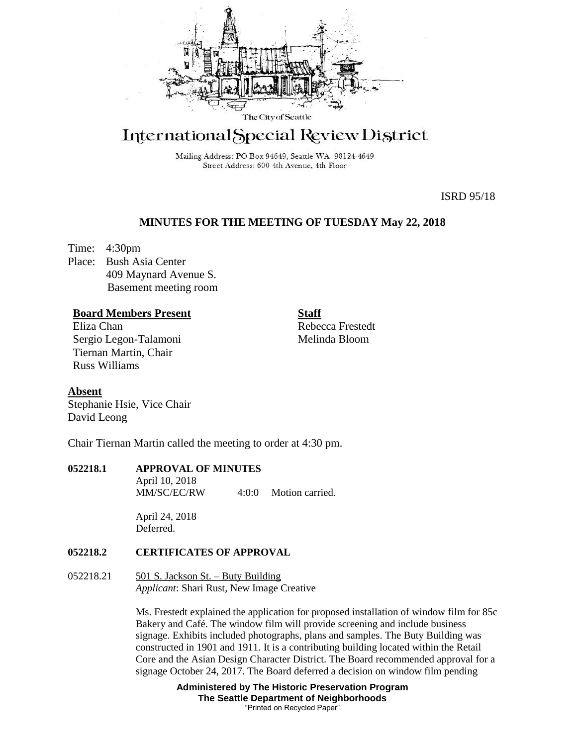

# International Special Review District

Mailing Address: PO Box 94649, Seattle WA 98124-4649 Street Address: 600 4th Avenue, 4th Floor

ISRD 95/18

## **MINUTES FOR THE MEETING OF TUESDAY May 22, 2018**

Time: 4:30pm Place: Bush Asia Center 409 Maynard Avenue S. Basement meeting room

## **Board Members Present**

Eliza Chan Sergio Legon-Talamoni Tiernan Martin, Chair Russ Williams

Rebecca Frestedt Melinda Bloom

**Staff**

**Absent** Stephanie Hsie, Vice Chair David Leong

Chair Tiernan Martin called the meeting to order at 4:30 pm.

## **052218.1 APPROVAL OF MINUTES**

April 10, 2018 MM/SC/EC/RW 4:0:0 Motion carried.

April 24, 2018 Deferred.

## **052218.2 CERTIFICATES OF APPROVAL**

## 052218.21 501 S. Jackson St. – Buty Building *Applicant*: Shari Rust, New Image Creative

Ms. Frestedt explained the application for proposed installation of window film for 85c Bakery and Café. The window film will provide screening and include business signage. Exhibits included photographs, plans and samples. The Buty Building was constructed in 1901 and 1911. It is a contributing building located within the Retail Core and the Asian Design Character District. The Board recommended approval for a signage October 24, 2017. The Board deferred a decision on window film pending

> **Administered by The Historic Preservation Program The Seattle Department of Neighborhoods** "Printed on Recycled Paper"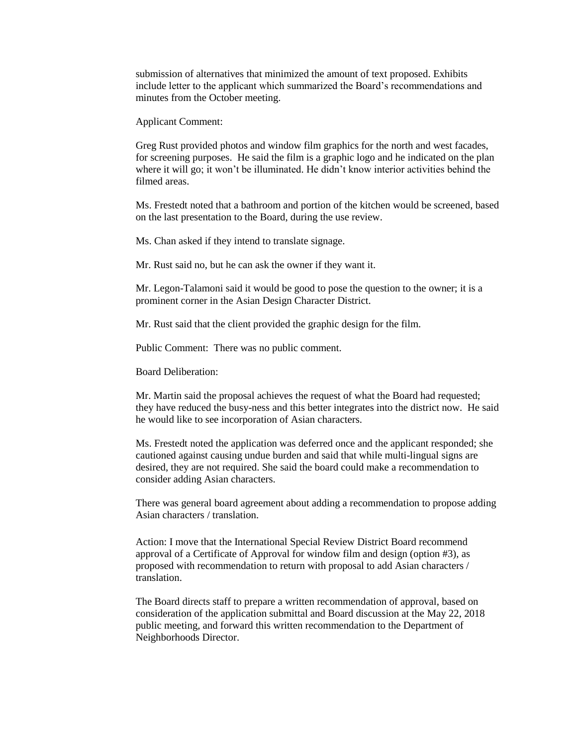submission of alternatives that minimized the amount of text proposed. Exhibits include letter to the applicant which summarized the Board's recommendations and minutes from the October meeting.

Applicant Comment:

Greg Rust provided photos and window film graphics for the north and west facades, for screening purposes. He said the film is a graphic logo and he indicated on the plan where it will go; it won't be illuminated. He didn't know interior activities behind the filmed areas.

Ms. Frestedt noted that a bathroom and portion of the kitchen would be screened, based on the last presentation to the Board, during the use review.

Ms. Chan asked if they intend to translate signage.

Mr. Rust said no, but he can ask the owner if they want it.

Mr. Legon-Talamoni said it would be good to pose the question to the owner; it is a prominent corner in the Asian Design Character District.

Mr. Rust said that the client provided the graphic design for the film.

Public Comment: There was no public comment.

Board Deliberation:

Mr. Martin said the proposal achieves the request of what the Board had requested; they have reduced the busy-ness and this better integrates into the district now. He said he would like to see incorporation of Asian characters.

Ms. Frestedt noted the application was deferred once and the applicant responded; she cautioned against causing undue burden and said that while multi-lingual signs are desired, they are not required. She said the board could make a recommendation to consider adding Asian characters.

There was general board agreement about adding a recommendation to propose adding Asian characters / translation.

Action: I move that the International Special Review District Board recommend approval of a Certificate of Approval for window film and design (option #3), as proposed with recommendation to return with proposal to add Asian characters / translation.

The Board directs staff to prepare a written recommendation of approval, based on consideration of the application submittal and Board discussion at the May 22, 2018 public meeting, and forward this written recommendation to the Department of Neighborhoods Director.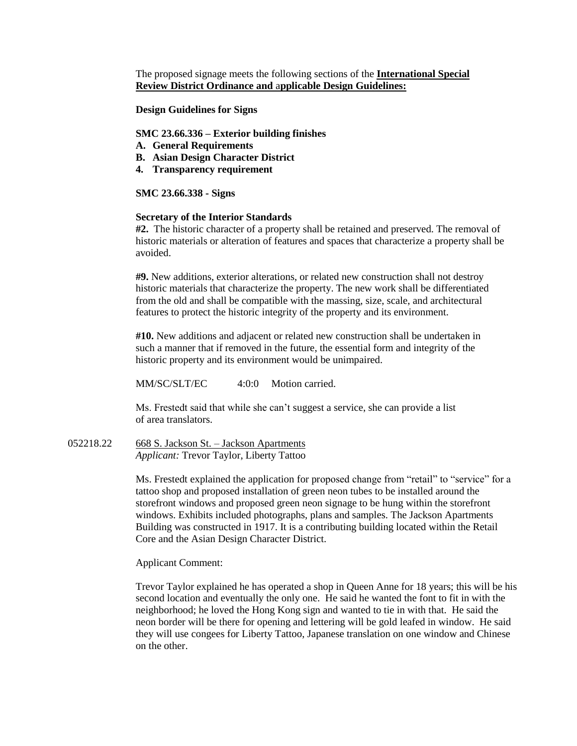The proposed signage meets the following sections of the **International Special Review District Ordinance and** a**pplicable Design Guidelines:**

**Design Guidelines for Signs** 

#### **SMC 23.66.336 – Exterior building finishes**

- **A. General Requirements**
- **B. Asian Design Character District**
- **4. Transparency requirement**

#### **SMC 23.66.338 - Signs**

#### **Secretary of the Interior Standards**

**#2.** The historic character of a property shall be retained and preserved. The removal of historic materials or alteration of features and spaces that characterize a property shall be avoided.

**#9.** New additions, exterior alterations, or related new construction shall not destroy historic materials that characterize the property. The new work shall be differentiated from the old and shall be compatible with the massing, size, scale, and architectural features to protect the historic integrity of the property and its environment.

**#10.** New additions and adjacent or related new construction shall be undertaken in such a manner that if removed in the future, the essential form and integrity of the historic property and its environment would be unimpaired.

MM/SC/SLT/EC 4:0:0 Motion carried.

Ms. Frestedt said that while she can't suggest a service, she can provide a list of area translators.

052218.22 668 S. Jackson St. – Jackson Apartments *Applicant:* Trevor Taylor, Liberty Tattoo

> Ms. Frestedt explained the application for proposed change from "retail" to "service" for a tattoo shop and proposed installation of green neon tubes to be installed around the storefront windows and proposed green neon signage to be hung within the storefront windows. Exhibits included photographs, plans and samples. The Jackson Apartments Building was constructed in 1917. It is a contributing building located within the Retail Core and the Asian Design Character District.

Applicant Comment:

Trevor Taylor explained he has operated a shop in Queen Anne for 18 years; this will be his second location and eventually the only one. He said he wanted the font to fit in with the neighborhood; he loved the Hong Kong sign and wanted to tie in with that. He said the neon border will be there for opening and lettering will be gold leafed in window. He said they will use congees for Liberty Tattoo, Japanese translation on one window and Chinese on the other.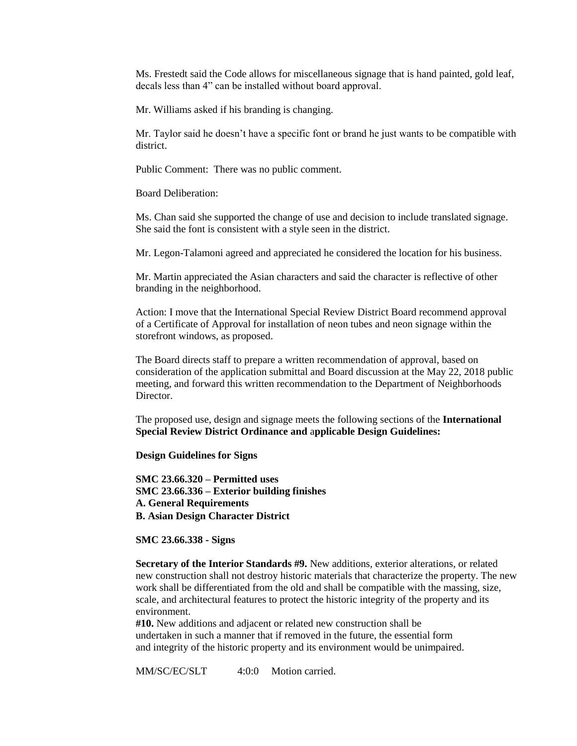Ms. Frestedt said the Code allows for miscellaneous signage that is hand painted, gold leaf, decals less than 4" can be installed without board approval.

Mr. Williams asked if his branding is changing.

Mr. Taylor said he doesn't have a specific font or brand he just wants to be compatible with district.

Public Comment: There was no public comment.

Board Deliberation:

Ms. Chan said she supported the change of use and decision to include translated signage. She said the font is consistent with a style seen in the district.

Mr. Legon-Talamoni agreed and appreciated he considered the location for his business.

Mr. Martin appreciated the Asian characters and said the character is reflective of other branding in the neighborhood.

Action: I move that the International Special Review District Board recommend approval of a Certificate of Approval for installation of neon tubes and neon signage within the storefront windows, as proposed.

The Board directs staff to prepare a written recommendation of approval, based on consideration of the application submittal and Board discussion at the May 22, 2018 public meeting, and forward this written recommendation to the Department of Neighborhoods Director.

The proposed use, design and signage meets the following sections of the **International Special Review District Ordinance and** a**pplicable Design Guidelines:** 

**Design Guidelines for Signs** 

**SMC 23.66.320 – Permitted uses SMC 23.66.336 – Exterior building finishes A. General Requirements B. Asian Design Character District** 

**SMC 23.66.338 - Signs** 

**Secretary of the Interior Standards #9.** New additions, exterior alterations, or related new construction shall not destroy historic materials that characterize the property. The new work shall be differentiated from the old and shall be compatible with the massing, size, scale, and architectural features to protect the historic integrity of the property and its environment.

**#10.** New additions and adjacent or related new construction shall be undertaken in such a manner that if removed in the future, the essential form and integrity of the historic property and its environment would be unimpaired.

MM/SC/EC/SLT 4:0:0 Motion carried.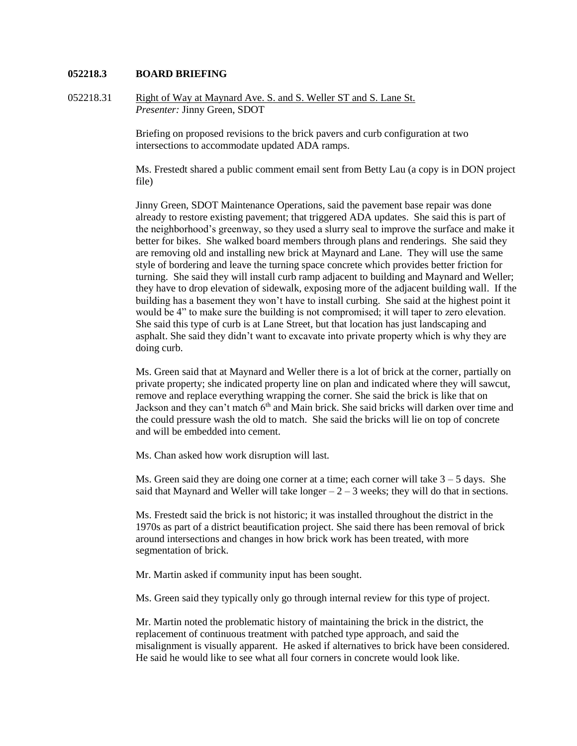#### **052218.3 BOARD BRIEFING**

052218.31 Right of Way at Maynard Ave. S. and S. Weller ST and S. Lane St. *Presenter:* Jinny Green, SDOT

> Briefing on proposed revisions to the brick pavers and curb configuration at two intersections to accommodate updated ADA ramps.

Ms. Frestedt shared a public comment email sent from Betty Lau (a copy is in DON project file)

Jinny Green, SDOT Maintenance Operations, said the pavement base repair was done already to restore existing pavement; that triggered ADA updates. She said this is part of the neighborhood's greenway, so they used a slurry seal to improve the surface and make it better for bikes. She walked board members through plans and renderings. She said they are removing old and installing new brick at Maynard and Lane. They will use the same style of bordering and leave the turning space concrete which provides better friction for turning. She said they will install curb ramp adjacent to building and Maynard and Weller; they have to drop elevation of sidewalk, exposing more of the adjacent building wall. If the building has a basement they won't have to install curbing. She said at the highest point it would be 4" to make sure the building is not compromised; it will taper to zero elevation. She said this type of curb is at Lane Street, but that location has just landscaping and asphalt. She said they didn't want to excavate into private property which is why they are doing curb.

Ms. Green said that at Maynard and Weller there is a lot of brick at the corner, partially on private property; she indicated property line on plan and indicated where they will sawcut, remove and replace everything wrapping the corner. She said the brick is like that on Jackson and they can't match  $6<sup>th</sup>$  and Main brick. She said bricks will darken over time and the could pressure wash the old to match. She said the bricks will lie on top of concrete and will be embedded into cement.

Ms. Chan asked how work disruption will last.

Ms. Green said they are doing one corner at a time; each corner will take  $3 - 5$  days. She said that Maynard and Weller will take longer  $-2 - 3$  weeks; they will do that in sections.

Ms. Frestedt said the brick is not historic; it was installed throughout the district in the 1970s as part of a district beautification project. She said there has been removal of brick around intersections and changes in how brick work has been treated, with more segmentation of brick.

Mr. Martin asked if community input has been sought.

Ms. Green said they typically only go through internal review for this type of project.

Mr. Martin noted the problematic history of maintaining the brick in the district, the replacement of continuous treatment with patched type approach, and said the misalignment is visually apparent. He asked if alternatives to brick have been considered. He said he would like to see what all four corners in concrete would look like.